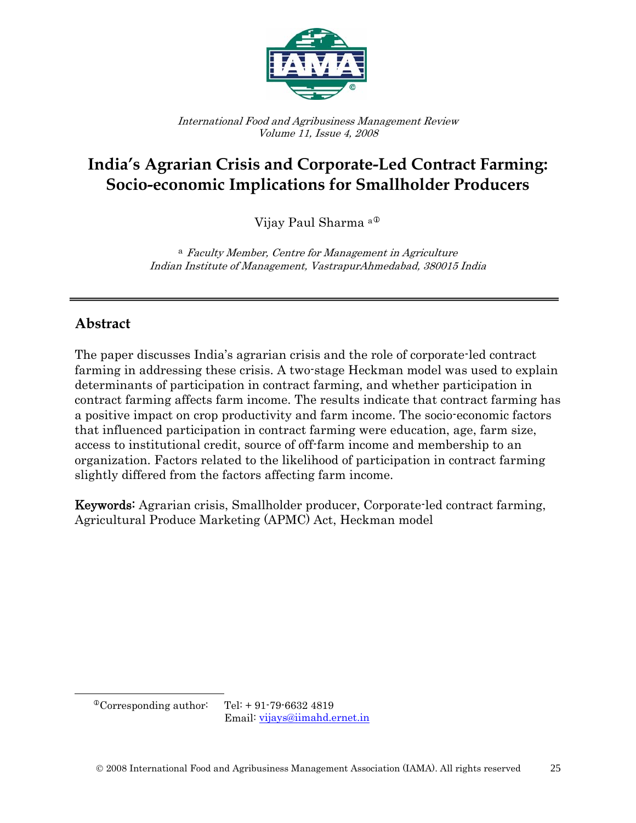

International Food and Agribusiness Management Review Volume 11, Issue 4, 2008

# **India's Agrarian Crisis and Corporate-Led Contract Farming: Socio-economic Implications for Smallholder Producers**

Vijay Paul Sharma<sup>a®</sup>

<sup>a</sup> Faculty Member, Centre for Management in Agriculture Indian Institute of Management, VastrapurAhmedabad, 380015 India

## **Abstract**

The paper discusses India's agrarian crisis and the role of corporate-led contract farming in addressing these crisis. A two-stage Heckman model was used to explain determinants of participation in contract farming, and whether participation in contract farming affects farm income. The results indicate that contract farming has a positive impact on crop productivity and farm income. The socio-economic factors that influenced participation in contract farming were education, age, farm size, access to institutional credit, source of off-farm income and membership to an organization. Factors related to the likelihood of participation in contract farming slightly differed from the factors affecting farm income.

Keywords: Agrarian crisis, Smallholder producer, Corporate-led contract farming, Agricultural Produce Marketing (APMC) Act, Heckman model

<span id="page-0-0"></span> $\overline{\phantom{a}}$ 

Email: [vijays@iimahd.ernet.in](mailto:vijays@iimahd.ernet.in) 

 $^{\circ}$ Corresponding author: Tel: + 91-79-6632 4819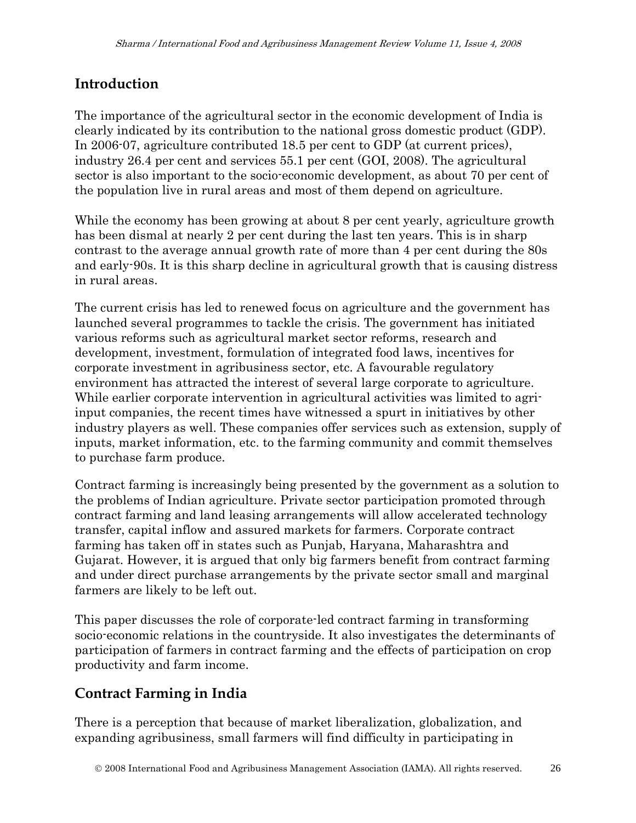# **Introduction**

The importance of the agricultural sector in the economic development of India is clearly indicated by its contribution to the national gross domestic product (GDP). In 2006-07, agriculture contributed 18.5 per cent to GDP (at current prices), industry 26.4 per cent and services 55.1 per cent (GOI, 2008). The agricultural sector is also important to the socio-economic development, as about 70 per cent of the population live in rural areas and most of them depend on agriculture.

While the economy has been growing at about 8 per cent yearly, agriculture growth has been dismal at nearly 2 per cent during the last ten years. This is in sharp contrast to the average annual growth rate of more than 4 per cent during the 80s and early-90s. It is this sharp decline in agricultural growth that is causing distress in rural areas.

The current crisis has led to renewed focus on agriculture and the government has launched several programmes to tackle the crisis. The government has initiated various reforms such as agricultural market sector reforms, research and development, investment, formulation of integrated food laws, incentives for corporate investment in agribusiness sector, etc. A favourable regulatory environment has attracted the interest of several large corporate to agriculture. While earlier corporate intervention in agricultural activities was limited to agriinput companies, the recent times have witnessed a spurt in initiatives by other industry players as well. These companies offer services such as extension, supply of inputs, market information, etc. to the farming community and commit themselves to purchase farm produce.

Contract farming is increasingly being presented by the government as a solution to the problems of Indian agriculture. Private sector participation promoted through contract farming and land leasing arrangements will allow accelerated technology transfer, capital inflow and assured markets for farmers. Corporate contract farming has taken off in states such as Punjab, Haryana, Maharashtra and Gujarat. However, it is argued that only big farmers benefit from contract farming and under direct purchase arrangements by the private sector small and marginal farmers are likely to be left out.

This paper discusses the role of corporate-led contract farming in transforming socio-economic relations in the countryside. It also investigates the determinants of participation of farmers in contract farming and the effects of participation on crop productivity and farm income.

# **Contract Farming in India**

There is a perception that because of market liberalization, globalization, and expanding agribusiness, small farmers will find difficulty in participating in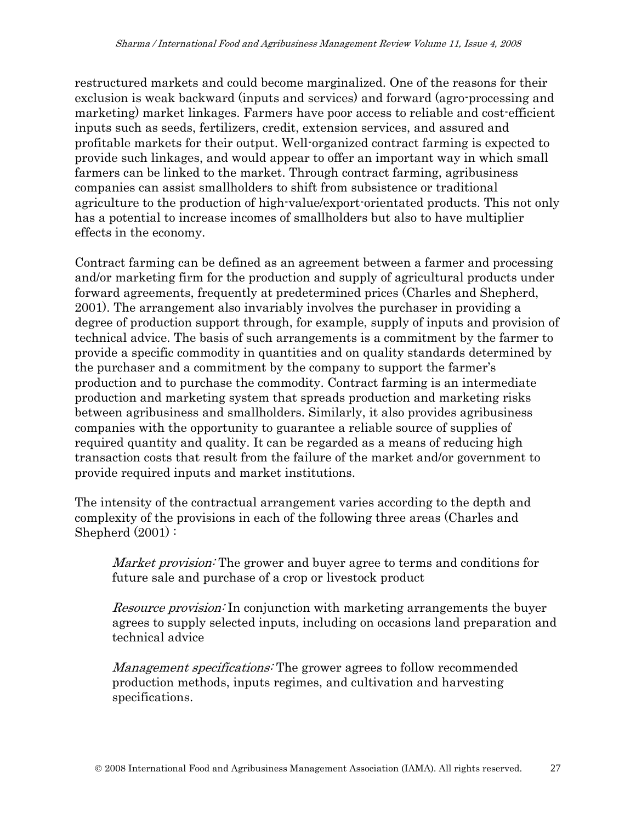restructured markets and could become marginalized. One of the reasons for their exclusion is weak backward (inputs and services) and forward (agro-processing and marketing) market linkages. Farmers have poor access to reliable and cost-efficient inputs such as seeds, fertilizers, credit, extension services, and assured and profitable markets for their output. Well-organized contract farming is expected to provide such linkages, and would appear to offer an important way in which small farmers can be linked to the market. Through contract farming, agribusiness companies can assist smallholders to shift from subsistence or traditional agriculture to the production of high-value/export-orientated products. This not only has a potential to increase incomes of smallholders but also to have multiplier effects in the economy.

Contract farming can be defined as an agreement between a farmer and processing and/or marketing firm for the production and supply of agricultural products under forward agreements, frequently at predetermined prices (Charles and Shepherd, 2001). The arrangement also invariably involves the purchaser in providing a degree of production support through, for example, supply of inputs and provision of technical advice. The basis of such arrangements is a commitment by the farmer to provide a specific commodity in quantities and on quality standards determined by the purchaser and a commitment by the company to support the farmer's production and to purchase the commodity. Contract farming is an intermediate production and marketing system that spreads production and marketing risks between agribusiness and smallholders. Similarly, it also provides agribusiness companies with the opportunity to guarantee a reliable source of supplies of required quantity and quality. It can be regarded as a means of reducing high transaction costs that result from the failure of the market and/or government to provide required inputs and market institutions.

The intensity of the contractual arrangement varies according to the depth and complexity of the provisions in each of the following three areas (Charles and Shepherd (2001) :

Market provision: The grower and buyer agree to terms and conditions for future sale and purchase of a crop or livestock product

Resource provision: In conjunction with marketing arrangements the buyer agrees to supply selected inputs, including on occasions land preparation and technical advice

Management specifications: The grower agrees to follow recommended production methods, inputs regimes, and cultivation and harvesting specifications.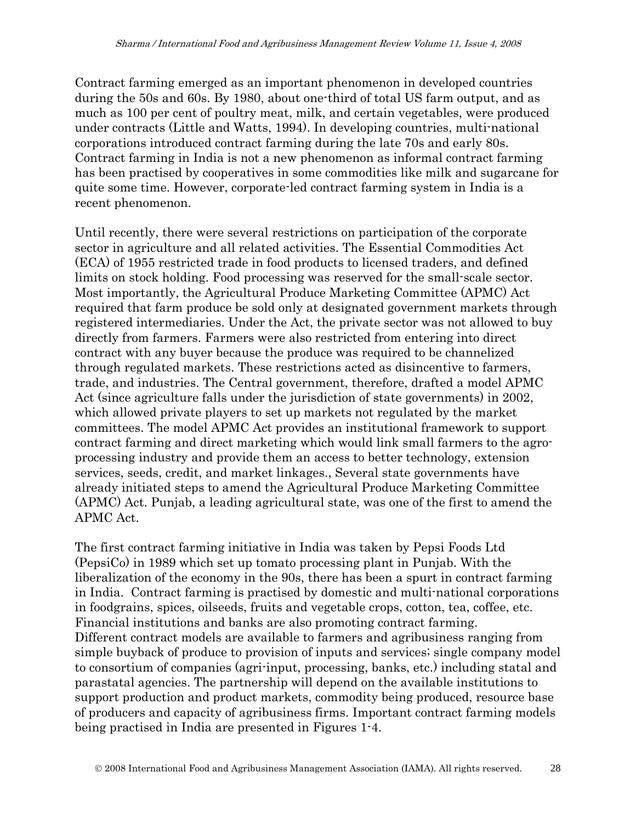Contract farming emerged as an important phenomenon in developed countries during the 50s and 60s. By 1980, about one-third of total US farm output, and as much as 100 per cent of poultry meat, milk, and certain vegetables, were produced under contracts (Little and Watts, 1994). In developing countries, multi-national corporations introduced contract farming during the late 70s and early 80s. Contract farming in India is not a new phenomenon as informal contract farming has been practised by cooperatives in some commodities like milk and sugarcane for quite some time. However, corporate-led contract farming system in India is a recent phenomenon.

Until recently, there were several restrictions on participation of the corporate sector in agriculture and all related activities. The Essential Commodities Act (ECA) of 1955 restricted trade in food products to licensed traders, and defined limits on stock holding. Food processing was reserved for the small-scale sector. Most importantly, the Agricultural Produce Marketing Committee (APMC) Act required that farm produce be sold only at designated government markets through registered intermediaries. Under the Act, the private sector was not allowed to buy directly from farmers. Farmers were also restricted from entering into direct contract with any buyer because the produce was required to be channelized through regulated markets. These restrictions acted as disincentive to farmers, trade, and industries. The Central government, therefore, drafted a model APMC Act (since agriculture falls under the jurisdiction of state governments) in 2002, which allowed private players to set up markets not regulated by the market committees. The model APMC Act provides an institutional framework to support contract farming and direct marketing which would link small farmers to the agroprocessing industry and provide them an access to better technology, extension services, seeds, credit, and market linkages., Several state governments have already initiated steps to amend the Agricultural Produce Marketing Committee (APMC) Act. Punjab, a leading agricultural state, was one of the first to amend the APMC Act.

The first contract farming initiative in India was taken by Pepsi Foods Ltd (PepsiCo) in 1989 which set up tomato processing plant in Punjab. With the liberalization of the economy in the 90s, there has been a spurt in contract farming in India. Contract farming is practised by domestic and multi-national corporations in foodgrains, spices, oilseeds, fruits and vegetable crops, cotton, tea, coffee, etc. Financial institutions and banks are also promoting contract farming. Different contract models are available to farmers and agribusiness ranging from simple buyback of produce to provision of inputs and services; single company model to consortium of companies (agri-input, processing, banks, etc.) including statal and parastatal agencies. The partnership will depend on the available institutions to support production and product markets, commodity being produced, resource base of producers and capacity of agribusiness firms. Important contract farming models being practised in India are presented in Figures 1-4.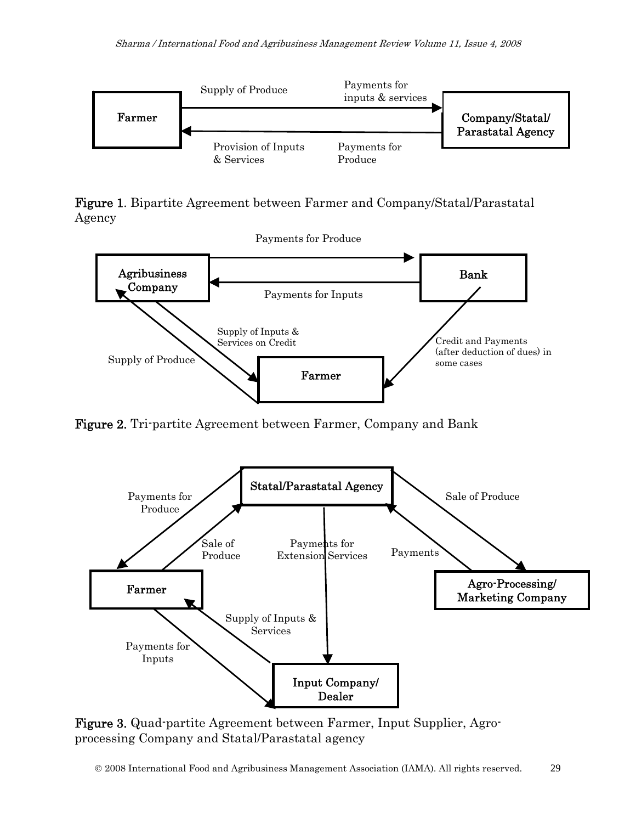

Figure 1. Bipartite Agreement between Farmer and Company/Statal/Parastatal Agency



Figure 2. Tri-partite Agreement between Farmer, Company and Bank



Figure 3. Quad-partite Agreement between Farmer, Input Supplier, Agroprocessing Company and Statal/Parastatal agency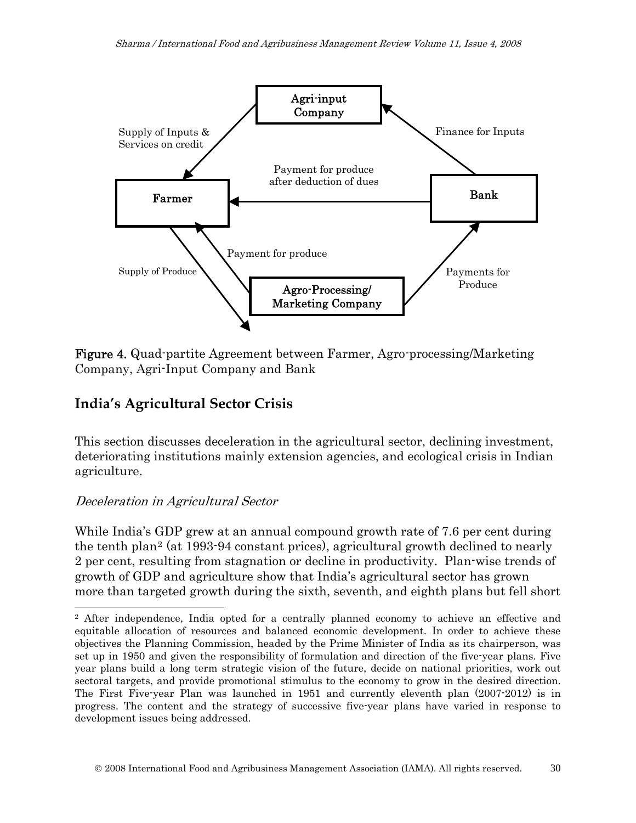

Figure 4. Quad-partite Agreement between Farmer, Agro-processing/Marketing Company, Agri-Input Company and Bank

## **India's Agricultural Sector Crisis**

This section discusses deceleration in the agricultural sector, declining investment, deteriorating institutions mainly extension agencies, and ecological crisis in Indian agriculture.

#### Deceleration in Agricultural Sector

 $\overline{\phantom{a}}$ 

While India's GDP grew at an annual compound growth rate of 7.6 per cent during the tenth plan[2](#page-5-0) (at 1993-94 constant prices), agricultural growth declined to nearly 2 per cent, resulting from stagnation or decline in productivity. Plan-wise trends of growth of GDP and agriculture show that India's agricultural sector has grown more than targeted growth during the sixth, seventh, and eighth plans but fell short

<span id="page-5-0"></span><sup>2</sup> After independence, India opted for a centrally planned economy to achieve an effective and equitable allocation of resources and balanced economic development. In order to achieve these objectives the Planning Commission, headed by the Prime Minister of India as its chairperson, was set up in 1950 and given the responsibility of formulation and direction of the five-year plans. Five year plans build a long term strategic vision of the future, decide on national priorities, work out sectoral targets, and provide promotional stimulus to the economy to grow in the desired direction. The First Five-year Plan was launched in 1951 and currently eleventh plan (2007-2012) is in progress. The content and the strategy of successive five-year plans have varied in response to development issues being addressed.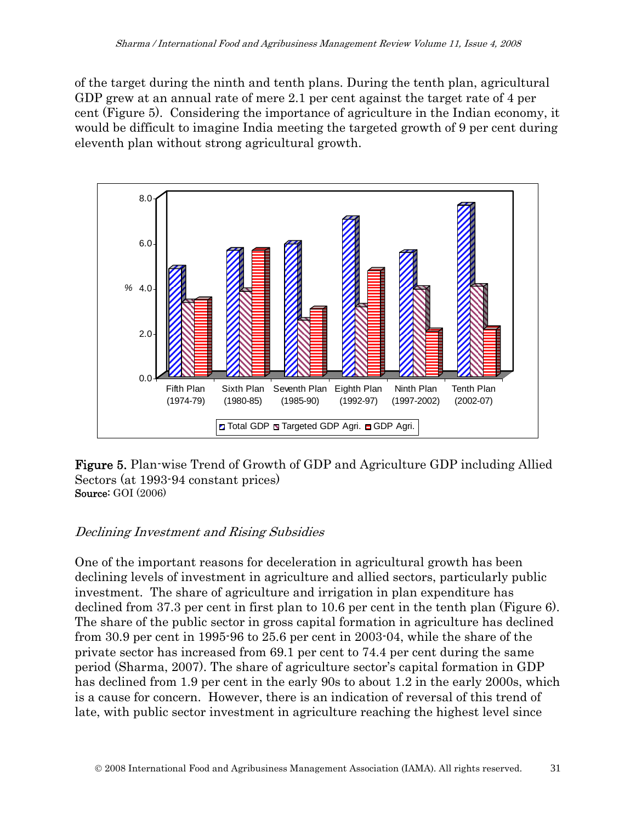of the target during the ninth and tenth plans. During the tenth plan, agricultural GDP grew at an annual rate of mere 2.1 per cent against the target rate of 4 per cent (Figure 5). Considering the importance of agriculture in the Indian economy, it would be difficult to imagine India meeting the targeted growth of 9 per cent during eleventh plan without strong agricultural growth.





## Declining Investment and Rising Subsidies

One of the important reasons for deceleration in agricultural growth has been declining levels of investment in agriculture and allied sectors, particularly public investment. The share of agriculture and irrigation in plan expenditure has declined from 37.3 per cent in first plan to 10.6 per cent in the tenth plan (Figure 6). The share of the public sector in gross capital formation in agriculture has declined from 30.9 per cent in 1995-96 to 25.6 per cent in 2003-04, while the share of the private sector has increased from 69.1 per cent to 74.4 per cent during the same period (Sharma, 2007). The share of agriculture sector's capital formation in GDP has declined from 1.9 per cent in the early 90s to about 1.2 in the early 2000s, which is a cause for concern. However, there is an indication of reversal of this trend of late, with public sector investment in agriculture reaching the highest level since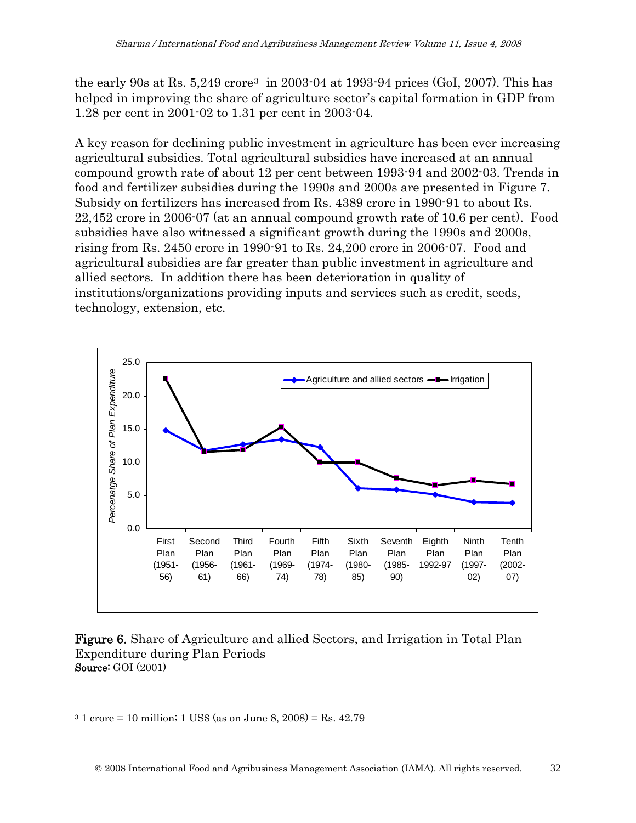the early 90s at Rs.  $5,249$  crore<sup>[3](#page-7-0)</sup> in 2003-04 at 1993-94 prices (GoI, 2007). This has helped in improving the share of agriculture sector's capital formation in GDP from 1.28 per cent in 2001-02 to 1.31 per cent in 2003-04.

A key reason for declining public investment in agriculture has been ever increasing agricultural subsidies. Total agricultural subsidies have increased at an annual compound growth rate of about 12 per cent between 1993-94 and 2002-03. Trends in food and fertilizer subsidies during the 1990s and 2000s are presented in Figure 7. Subsidy on fertilizers has increased from Rs. 4389 crore in 1990-91 to about Rs. 22,452 crore in 2006-07 (at an annual compound growth rate of 10.6 per cent). Food subsidies have also witnessed a significant growth during the 1990s and 2000s, rising from Rs. 2450 crore in 1990-91 to Rs. 24,200 crore in 2006-07. Food and agricultural subsidies are far greater than public investment in agriculture and allied sectors. In addition there has been deterioration in quality of institutions/organizations providing inputs and services such as credit, seeds, technology, extension, etc.



#### Figure 6. Share of Agriculture and allied Sectors, and Irrigation in Total Plan Expenditure during Plan Periods Source: GOI (2001)

 $\overline{\phantom{a}}$ 

<span id="page-7-0"></span> $31$  crore = 10 million; 1 US\$ (as on June 8, 2008) = Rs. 42.79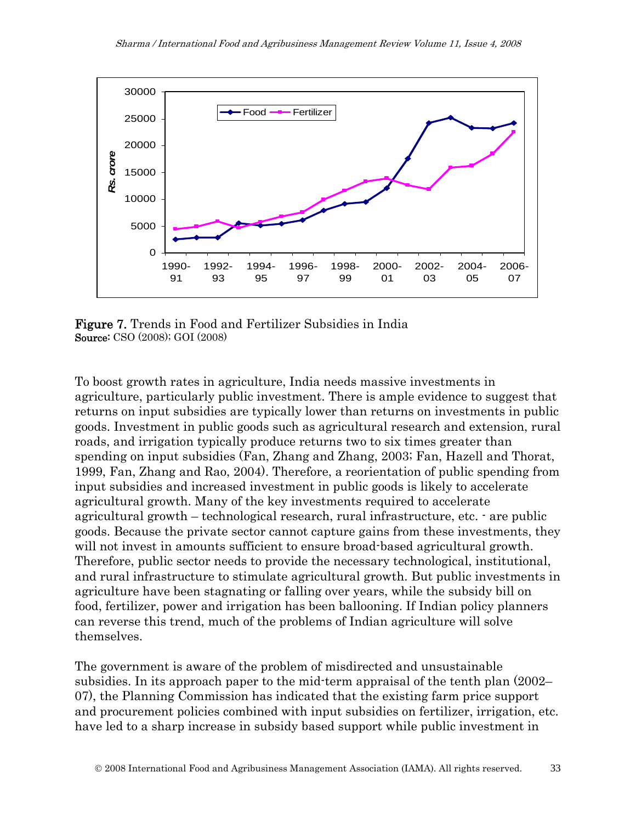

Figure 7. Trends in Food and Fertilizer Subsidies in India Source: CSO (2008); GOI (2008)

To boost growth rates in agriculture, India needs massive investments in agriculture, particularly public investment. There is ample evidence to suggest that returns on input subsidies are typically lower than returns on investments in public goods. Investment in public goods such as agricultural research and extension, rural roads, and irrigation typically produce returns two to six times greater than spending on input subsidies (Fan, Zhang and Zhang, 2003; Fan, Hazell and Thorat, 1999, Fan, Zhang and Rao, 2004). Therefore, a reorientation of public spending from input subsidies and increased investment in public goods is likely to accelerate agricultural growth. Many of the key investments required to accelerate agricultural growth – technological research, rural infrastructure, etc. - are public goods. Because the private sector cannot capture gains from these investments, they will not invest in amounts sufficient to ensure broad-based agricultural growth. Therefore, public sector needs to provide the necessary technological, institutional, and rural infrastructure to stimulate agricultural growth. But public investments in agriculture have been stagnating or falling over years, while the subsidy bill on food, fertilizer, power and irrigation has been ballooning. If Indian policy planners can reverse this trend, much of the problems of Indian agriculture will solve themselves.

The government is aware of the problem of misdirected and unsustainable subsidies. In its approach paper to the mid-term appraisal of the tenth plan (2002– 07), the Planning Commission has indicated that the existing farm price support and procurement policies combined with input subsidies on fertilizer, irrigation, etc. have led to a sharp increase in subsidy based support while public investment in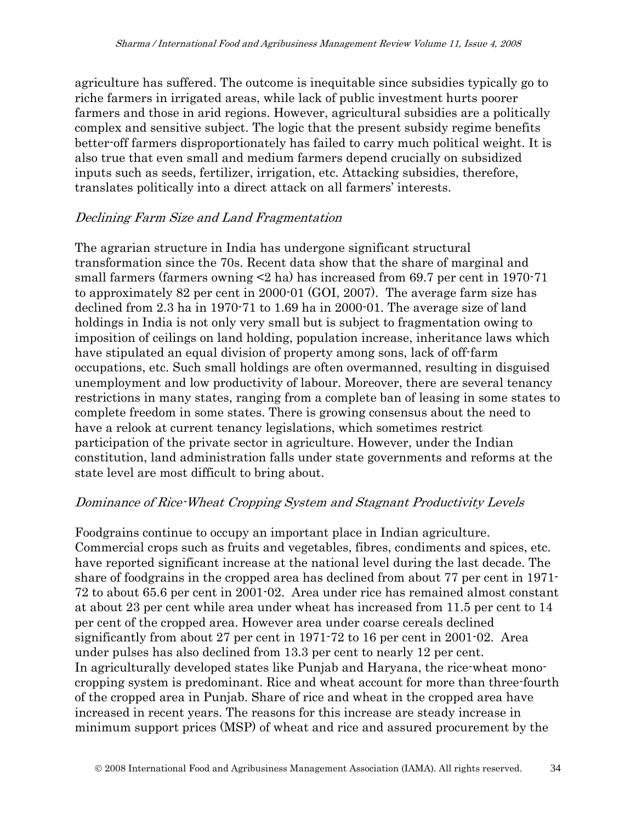agriculture has suffered. The outcome is inequitable since subsidies typically go to riche farmers in irrigated areas, while lack of public investment hurts poorer farmers and those in arid regions. However, agricultural subsidies are a politically complex and sensitive subject. The logic that the present subsidy regime benefits better-off farmers disproportionately has failed to carry much political weight. It is also true that even small and medium farmers depend crucially on subsidized inputs such as seeds, fertilizer, irrigation, etc. Attacking subsidies, therefore, translates politically into a direct attack on all farmers' interests.

#### Declining Farm Size and Land Fragmentation

The agrarian structure in India has undergone significant structural transformation since the 70s. Recent data show that the share of marginal and small farmers (farmers owning <2 ha) has increased from 69.7 per cent in 1970-71 to approximately 82 per cent in 2000-01 (GOI, 2007). The average farm size has declined from 2.3 ha in 1970-71 to 1.69 ha in 2000-01. The average size of land holdings in India is not only very small but is subject to fragmentation owing to imposition of ceilings on land holding, population increase, inheritance laws which have stipulated an equal division of property among sons, lack of off-farm occupations, etc. Such small holdings are often overmanned, resulting in disguised unemployment and low productivity of labour. Moreover, there are several tenancy restrictions in many states, ranging from a complete ban of leasing in some states to complete freedom in some states. There is growing consensus about the need to have a relook at current tenancy legislations, which sometimes restrict participation of the private sector in agriculture. However, under the Indian constitution, land administration falls under state governments and reforms at the state level are most difficult to bring about.

#### Dominance of Rice-Wheat Cropping System and Stagnant Productivity Levels

Foodgrains continue to occupy an important place in Indian agriculture. Commercial crops such as fruits and vegetables, fibres, condiments and spices, etc. have reported significant increase at the national level during the last decade. The share of foodgrains in the cropped area has declined from about 77 per cent in 1971- 72 to about 65.6 per cent in 2001-02. Area under rice has remained almost constant at about 23 per cent while area under wheat has increased from 11.5 per cent to 14 per cent of the cropped area. However area under coarse cereals declined significantly from about 27 per cent in 1971-72 to 16 per cent in 2001-02. Area under pulses has also declined from 13.3 per cent to nearly 12 per cent. In agriculturally developed states like Punjab and Haryana, the rice-wheat monocropping system is predominant. Rice and wheat account for more than three-fourth of the cropped area in Punjab. Share of rice and wheat in the cropped area have increased in recent years. The reasons for this increase are steady increase in minimum support prices (MSP) of wheat and rice and assured procurement by the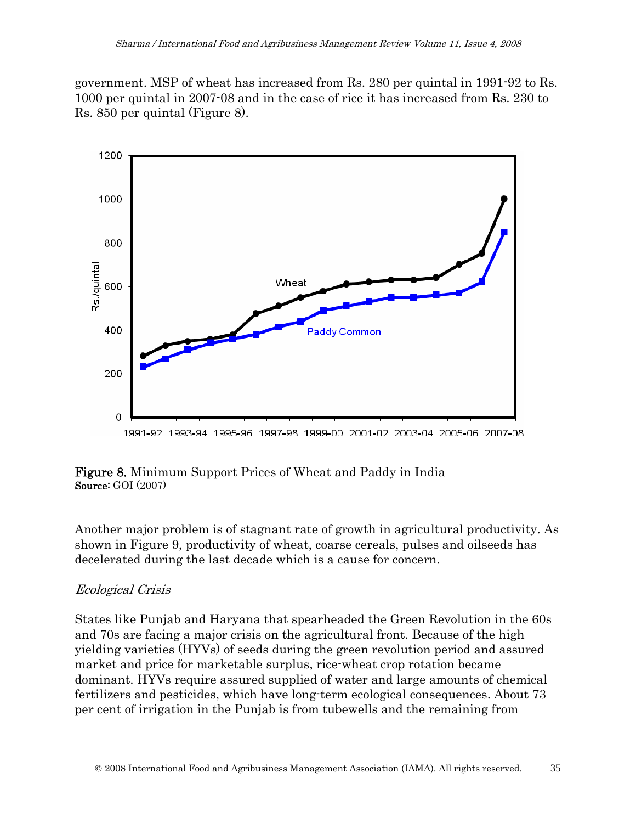government. MSP of wheat has increased from Rs. 280 per quintal in 1991-92 to Rs. 1000 per quintal in 2007-08 and in the case of rice it has increased from Rs. 230 to Rs. 850 per quintal (Figure 8).



#### 1991-92 1993-94 1995-96 1997-98 1999-00 2001-02 2003-04 2005-06 2007-08

#### Figure 8. Minimum Support Prices of Wheat and Paddy in India Source: GOI (2007)

Another major problem is of stagnant rate of growth in agricultural productivity. As shown in Figure 9, productivity of wheat, coarse cereals, pulses and oilseeds has decelerated during the last decade which is a cause for concern.

#### Ecological Crisis

States like Punjab and Haryana that spearheaded the Green Revolution in the 60s and 70s are facing a major crisis on the agricultural front. Because of the high yielding varieties (HYVs) of seeds during the green revolution period and assured market and price for marketable surplus, rice-wheat crop rotation became dominant. HYVs require assured supplied of water and large amounts of chemical fertilizers and pesticides, which have long-term ecological consequences. About 73 per cent of irrigation in the Punjab is from tubewells and the remaining from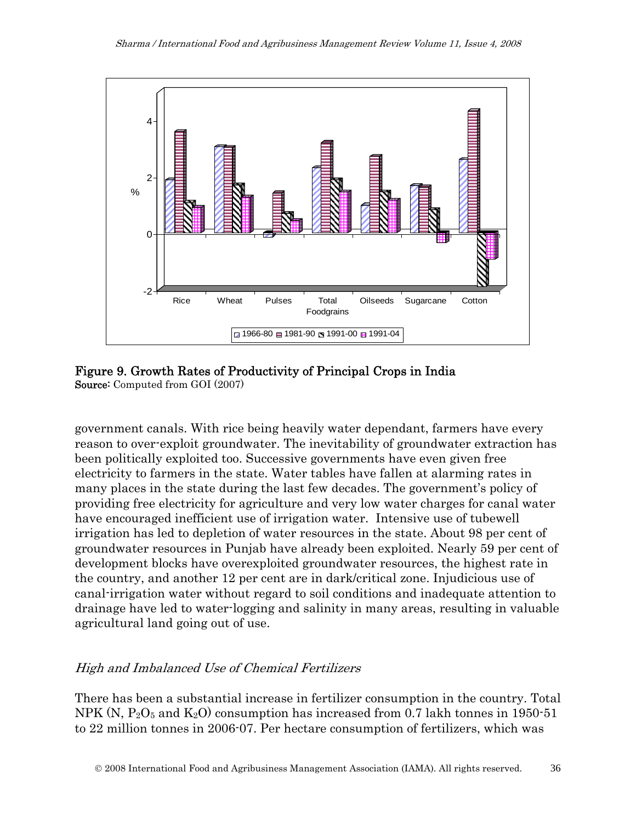

Figure 9. Growth Rates of Productivity of Principal Crops in India Source: Computed from GOI (2007)

government canals. With rice being heavily water dependant, farmers have every reason to over-exploit groundwater. The inevitability of groundwater extraction has been politically exploited too. Successive governments have even given free electricity to farmers in the state. Water tables have fallen at alarming rates in many places in the state during the last few decades. The government's policy of providing free electricity for agriculture and very low water charges for canal water have encouraged inefficient use of irrigation water. Intensive use of tubewell irrigation has led to depletion of water resources in the state. About 98 per cent of groundwater resources in Punjab have already been exploited. Nearly 59 per cent of development blocks have overexploited groundwater resources, the highest rate in the country, and another 12 per cent are in dark/critical zone. Injudicious use of canal-irrigation water without regard to soil conditions and inadequate attention to drainage have led to water-logging and salinity in many areas, resulting in valuable agricultural land going out of use.

### High and Imbalanced Use of Chemical Fertilizers

There has been a substantial increase in fertilizer consumption in the country. Total NPK (N,  $P_2O_5$  and  $K_2O$ ) consumption has increased from 0.7 lakh tonnes in 1950-51 to 22 million tonnes in 2006-07. Per hectare consumption of fertilizers, which was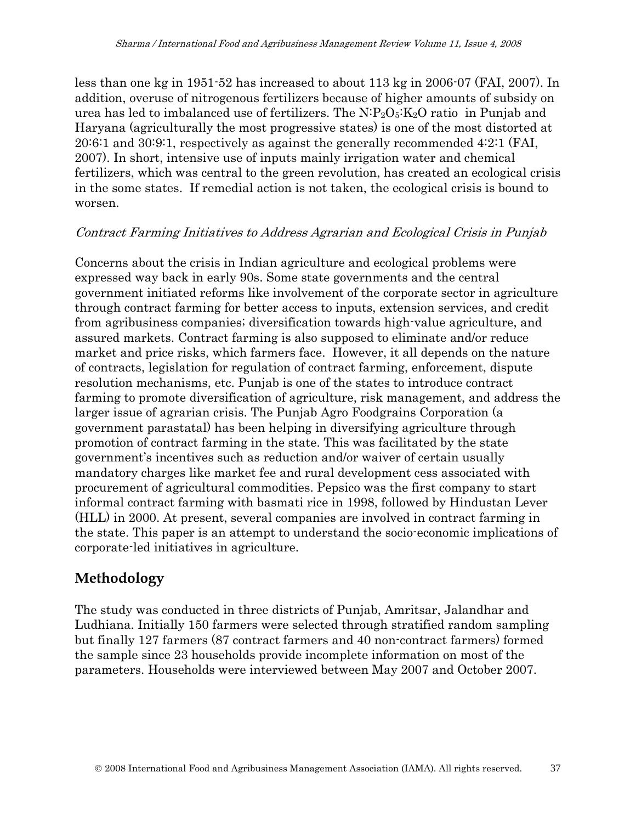less than one kg in 1951-52 has increased to about 113 kg in 2006-07 (FAI, 2007). In addition, overuse of nitrogenous fertilizers because of higher amounts of subsidy on urea has led to imbalanced use of fertilizers. The  $N \cdot P_2 O_5$ :  $K_2O$  ratio in Punjab and Haryana (agriculturally the most progressive states) is one of the most distorted at 20:6:1 and 30:9:1, respectively as against the generally recommended 4:2:1 (FAI, 2007). In short, intensive use of inputs mainly irrigation water and chemical fertilizers, which was central to the green revolution, has created an ecological crisis in the some states. If remedial action is not taken, the ecological crisis is bound to worsen.

#### Contract Farming Initiatives to Address Agrarian and Ecological Crisis in Punjab

Concerns about the crisis in Indian agriculture and ecological problems were expressed way back in early 90s. Some state governments and the central government initiated reforms like involvement of the corporate sector in agriculture through contract farming for better access to inputs, extension services, and credit from agribusiness companies; diversification towards high-value agriculture, and assured markets. Contract farming is also supposed to eliminate and/or reduce market and price risks, which farmers face. However, it all depends on the nature of contracts, legislation for regulation of contract farming, enforcement, dispute resolution mechanisms, etc. Punjab is one of the states to introduce contract farming to promote diversification of agriculture, risk management, and address the larger issue of agrarian crisis. The Punjab Agro Foodgrains Corporation (a government parastatal) has been helping in diversifying agriculture through promotion of contract farming in the state. This was facilitated by the state government's incentives such as reduction and/or waiver of certain usually mandatory charges like market fee and rural development cess associated with procurement of agricultural commodities. Pepsico was the first company to start informal contract farming with basmati rice in 1998, followed by Hindustan Lever (HLL) in 2000. At present, several companies are involved in contract farming in the state. This paper is an attempt to understand the socio-economic implications of corporate-led initiatives in agriculture.

## **Methodology**

The study was conducted in three districts of Punjab, Amritsar, Jalandhar and Ludhiana. Initially 150 farmers were selected through stratified random sampling but finally 127 farmers (87 contract farmers and 40 non-contract farmers) formed the sample since 23 households provide incomplete information on most of the parameters. Households were interviewed between May 2007 and October 2007.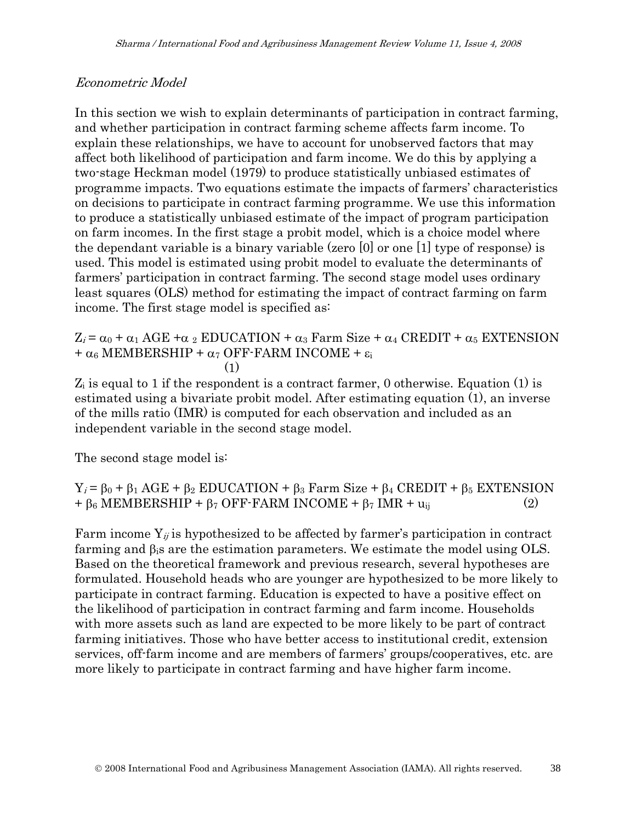#### Econometric Model

In this section we wish to explain determinants of participation in contract farming, and whether participation in contract farming scheme affects farm income. To explain these relationships, we have to account for unobserved factors that may affect both likelihood of participation and farm income. We do this by applying a two-stage Heckman model (1979) to produce statistically unbiased estimates of programme impacts. Two equations estimate the impacts of farmers' characteristics on decisions to participate in contract farming programme. We use this information to produce a statistically unbiased estimate of the impact of program participation on farm incomes. In the first stage a probit model, which is a choice model where the dependant variable is a binary variable (zero [0] or one [1] type of response) is used. This model is estimated using probit model to evaluate the determinants of farmers' participation in contract farming. The second stage model uses ordinary least squares (OLS) method for estimating the impact of contract farming on farm income. The first stage model is specified as:

 $Z_i = \alpha_0 + \alpha_1 \text{AGE} + \alpha_2 \text{EDUCATION} + \alpha_3 \text{ Farm Size} + \alpha_4 \text{CREDIT} + \alpha_5 \text{ EXTENSION}$ +  $\alpha$ <sub>6</sub> MEMBERSHIP +  $\alpha$ <sub>7</sub> OFF-FARM INCOME + ε<sub>i</sub>  $(1)$ 

 $Z_i$  is equal to 1 if the respondent is a contract farmer, 0 otherwise. Equation (1) is estimated using a bivariate probit model. After estimating equation (1), an inverse of the mills ratio (IMR) is computed for each observation and included as an independent variable in the second stage model.

The second stage model is:

 $Y_i = \beta_0 + \beta_1 AGE + \beta_2 EDUCATION + \beta_3 Farm Size + \beta_4 CREDIT + \beta_5 EXTENSION$  $+ \beta_6$  MEMBERSHIP +  $\beta_7$  OFF-FARM INCOME +  $\beta_7$  IMR +  $u_{ii}$  (2)

Farm income  $Y_{ij}$  is hypothesized to be affected by farmer's participation in contract farming and  $\beta_i$  are the estimation parameters. We estimate the model using OLS. Based on the theoretical framework and previous research, several hypotheses are formulated. Household heads who are younger are hypothesized to be more likely to participate in contract farming. Education is expected to have a positive effect on the likelihood of participation in contract farming and farm income. Households with more assets such as land are expected to be more likely to be part of contract farming initiatives. Those who have better access to institutional credit, extension services, off-farm income and are members of farmers' groups/cooperatives, etc. are more likely to participate in contract farming and have higher farm income.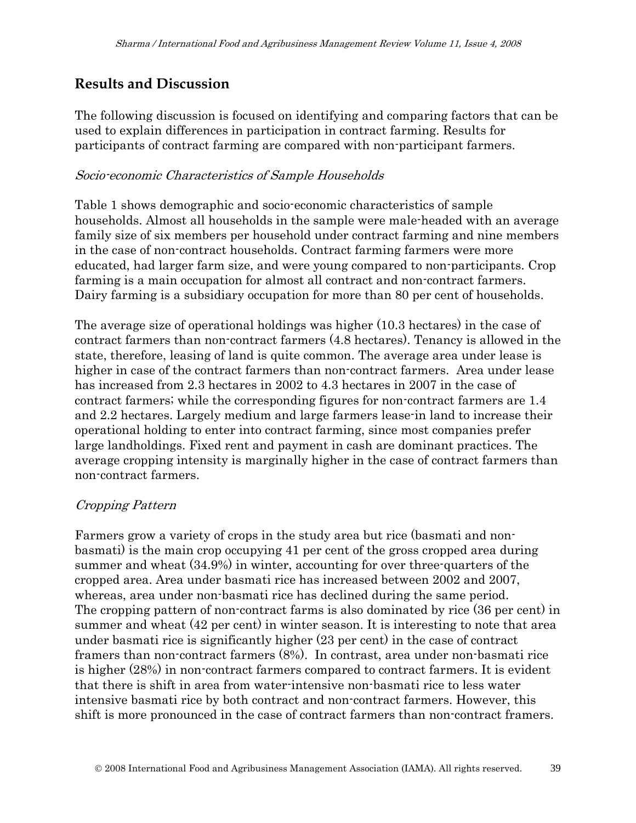## **Results and Discussion**

The following discussion is focused on identifying and comparing factors that can be used to explain differences in participation in contract farming. Results for participants of contract farming are compared with non-participant farmers.

#### Socio-economic Characteristics of Sample Households

Table 1 shows demographic and socio-economic characteristics of sample households. Almost all households in the sample were male-headed with an average family size of six members per household under contract farming and nine members in the case of non-contract households. Contract farming farmers were more educated, had larger farm size, and were young compared to non-participants. Crop farming is a main occupation for almost all contract and non-contract farmers. Dairy farming is a subsidiary occupation for more than 80 per cent of households.

The average size of operational holdings was higher (10.3 hectares) in the case of contract farmers than non-contract farmers (4.8 hectares). Tenancy is allowed in the state, therefore, leasing of land is quite common. The average area under lease is higher in case of the contract farmers than non-contract farmers. Area under lease has increased from 2.3 hectares in 2002 to 4.3 hectares in 2007 in the case of contract farmers; while the corresponding figures for non-contract farmers are 1.4 and 2.2 hectares. Largely medium and large farmers lease-in land to increase their operational holding to enter into contract farming, since most companies prefer large landholdings. Fixed rent and payment in cash are dominant practices. The average cropping intensity is marginally higher in the case of contract farmers than non-contract farmers.

#### Cropping Pattern

Farmers grow a variety of crops in the study area but rice (basmati and nonbasmati) is the main crop occupying 41 per cent of the gross cropped area during summer and wheat (34.9%) in winter, accounting for over three-quarters of the cropped area. Area under basmati rice has increased between 2002 and 2007, whereas, area under non-basmati rice has declined during the same period. The cropping pattern of non-contract farms is also dominated by rice (36 per cent) in summer and wheat (42 per cent) in winter season. It is interesting to note that area under basmati rice is significantly higher (23 per cent) in the case of contract framers than non-contract farmers (8%). In contrast, area under non-basmati rice is higher (28%) in non-contract farmers compared to contract farmers. It is evident that there is shift in area from water-intensive non-basmati rice to less water intensive basmati rice by both contract and non-contract farmers. However, this shift is more pronounced in the case of contract farmers than non-contract framers.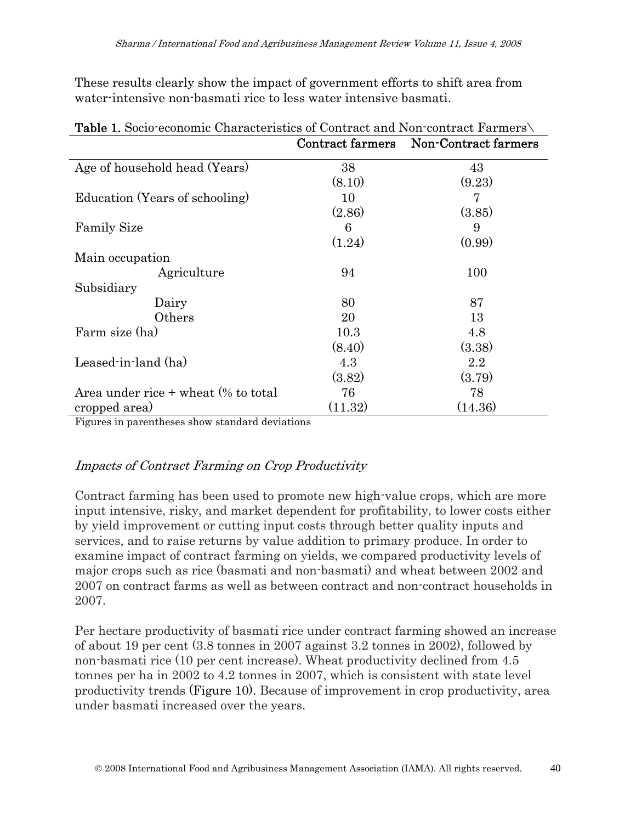These results clearly show the impact of government efforts to shift area from water-intensive non-basmati rice to less water intensive basmati.

|                                        | <b>Contract farmers</b> | Non-Contract farmers |
|----------------------------------------|-------------------------|----------------------|
| Age of household head (Years)          | 38                      | 43                   |
|                                        | (8.10)                  | (9.23)               |
| Education (Years of schooling)         | 10                      | 7                    |
|                                        | (2.86)                  | (3.85)               |
| <b>Family Size</b>                     | 6                       | 9                    |
|                                        | (1.24)                  | (0.99)               |
| Main occupation                        |                         |                      |
| Agriculture                            | 94                      | 100                  |
| Subsidiary                             |                         |                      |
| Dairy                                  | 80                      | 87                   |
| Others                                 | 20                      | 13                   |
| Farm size (ha)                         | 10.3                    | 4.8                  |
|                                        | (8.40)                  | (3.38)               |
| Leased-in-land (ha)                    | 4.3                     | 2.2                  |
|                                        | (3.82)                  | (3.79)               |
| Area under rice $+$ wheat $%$ to total | 76                      | 78                   |
| cropped area)                          | (11.32)                 | (14.36)              |

| <b>Table 1.</b> Socio-economic Characteristics of Contract and Non-contract Farmers |  |  |
|-------------------------------------------------------------------------------------|--|--|
|-------------------------------------------------------------------------------------|--|--|

Figures in parentheses show standard deviations

### Impacts of Contract Farming on Crop Productivity

Contract farming has been used to promote new high-value crops, which are more input intensive, risky, and market dependent for profitability, to lower costs either by yield improvement or cutting input costs through better quality inputs and services, and to raise returns by value addition to primary produce. In order to examine impact of contract farming on yields, we compared productivity levels of major crops such as rice (basmati and non-basmati) and wheat between 2002 and 2007 on contract farms as well as between contract and non-contract households in 2007.

Per hectare productivity of basmati rice under contract farming showed an increase of about 19 per cent (3.8 tonnes in 2007 against 3.2 tonnes in 2002), followed by non-basmati rice (10 per cent increase). Wheat productivity declined from 4.5 tonnes per ha in 2002 to 4.2 tonnes in 2007, which is consistent with state level productivity trends (Figure 10). Because of improvement in crop productivity, area under basmati increased over the years.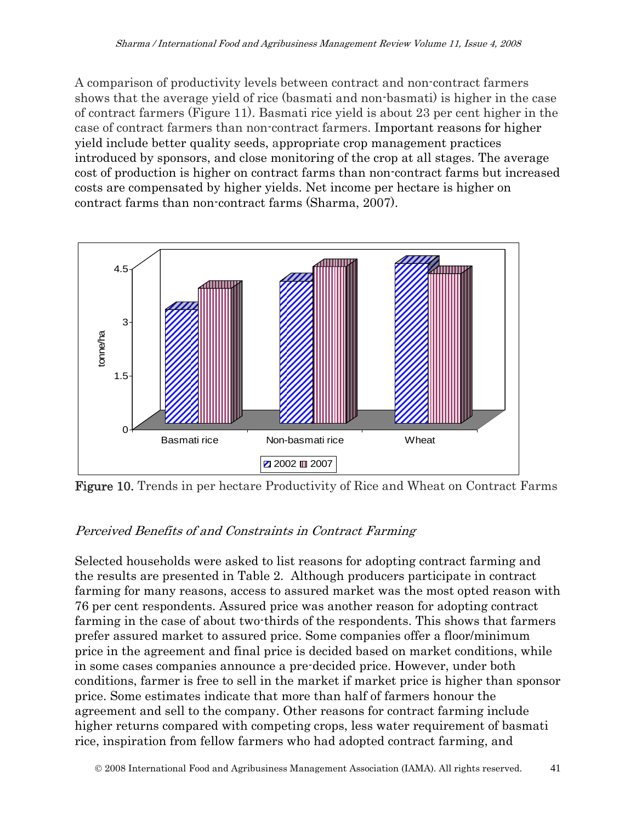A comparison of productivity levels between contract and non-contract farmers shows that the average yield of rice (basmati and non-basmati) is higher in the case of contract farmers (Figure 11). Basmati rice yield is about 23 per cent higher in the case of contract farmers than non-contract farmers. Important reasons for higher yield include better quality seeds, appropriate crop management practices introduced by sponsors, and close monitoring of the crop at all stages. The average cost of production is higher on contract farms than non-contract farms but increased costs are compensated by higher yields. Net income per hectare is higher on contract farms than non-contract farms (Sharma, 2007).



Figure 10. Trends in per hectare Productivity of Rice and Wheat on Contract Farms

## Perceived Benefits of and Constraints in Contract Farming

Selected households were asked to list reasons for adopting contract farming and the results are presented in Table 2. Although producers participate in contract farming for many reasons, access to assured market was the most opted reason with 76 per cent respondents. Assured price was another reason for adopting contract farming in the case of about two-thirds of the respondents. This shows that farmers prefer assured market to assured price. Some companies offer a floor/minimum price in the agreement and final price is decided based on market conditions, while in some cases companies announce a pre-decided price. However, under both conditions, farmer is free to sell in the market if market price is higher than sponsor price. Some estimates indicate that more than half of farmers honour the agreement and sell to the company. Other reasons for contract farming include higher returns compared with competing crops, less water requirement of basmati rice, inspiration from fellow farmers who had adopted contract farming, and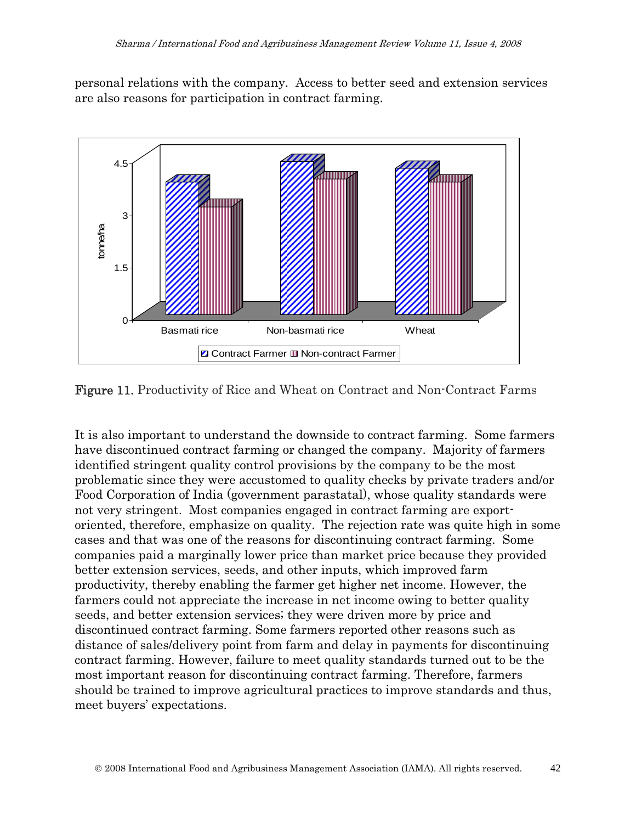personal relations with the company. Access to better seed and extension services are also reasons for participation in contract farming.



Figure 11. Productivity of Rice and Wheat on Contract and Non-Contract Farms

It is also important to understand the downside to contract farming. Some farmers have discontinued contract farming or changed the company. Majority of farmers identified stringent quality control provisions by the company to be the most problematic since they were accustomed to quality checks by private traders and/or Food Corporation of India (government parastatal), whose quality standards were not very stringent. Most companies engaged in contract farming are exportoriented, therefore, emphasize on quality. The rejection rate was quite high in some cases and that was one of the reasons for discontinuing contract farming. Some companies paid a marginally lower price than market price because they provided better extension services, seeds, and other inputs, which improved farm productivity, thereby enabling the farmer get higher net income. However, the farmers could not appreciate the increase in net income owing to better quality seeds, and better extension services; they were driven more by price and discontinued contract farming. Some farmers reported other reasons such as distance of sales/delivery point from farm and delay in payments for discontinuing contract farming. However, failure to meet quality standards turned out to be the most important reason for discontinuing contract farming. Therefore, farmers should be trained to improve agricultural practices to improve standards and thus, meet buyers' expectations.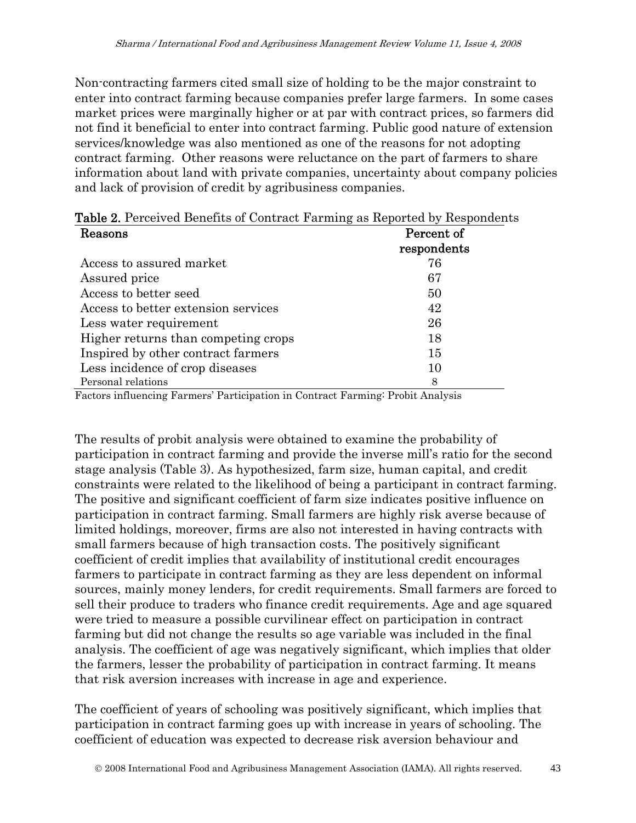Non-contracting farmers cited small size of holding to be the major constraint to enter into contract farming because companies prefer large farmers. In some cases market prices were marginally higher or at par with contract prices, so farmers did not find it beneficial to enter into contract farming. Public good nature of extension services/knowledge was also mentioned as one of the reasons for not adopting contract farming. Other reasons were reluctance on the part of farmers to share information about land with private companies, uncertainty about company policies and lack of provision of credit by agribusiness companies.

| <b>Table 2.</b> Perceived Benefits of Contract Farming as Reported by Respondents |             |  |  |  |
|-----------------------------------------------------------------------------------|-------------|--|--|--|
| Reasons                                                                           | Percent of  |  |  |  |
|                                                                                   | respondents |  |  |  |
| Access to assured market                                                          | 76          |  |  |  |
| Assured price                                                                     | 67          |  |  |  |
| Access to better seed                                                             | 50          |  |  |  |
| Access to better extension services                                               | 42          |  |  |  |
| Less water requirement                                                            | 26          |  |  |  |
| Higher returns than competing crops                                               | 18          |  |  |  |
| Inspired by other contract farmers                                                | 15          |  |  |  |
| Less incidence of crop diseases                                                   | 10          |  |  |  |
| Personal relations                                                                | 8           |  |  |  |

| Kagaana | Parcant of |
|---------|------------|

Factors influencing Farmers' Participation in Contract Farming: Probit Analysis

The results of probit analysis were obtained to examine the probability of participation in contract farming and provide the inverse mill's ratio for the second stage analysis (Table 3). As hypothesized, farm size, human capital, and credit constraints were related to the likelihood of being a participant in contract farming. The positive and significant coefficient of farm size indicates positive influence on participation in contract farming. Small farmers are highly risk averse because of limited holdings, moreover, firms are also not interested in having contracts with small farmers because of high transaction costs. The positively significant coefficient of credit implies that availability of institutional credit encourages farmers to participate in contract farming as they are less dependent on informal sources, mainly money lenders, for credit requirements. Small farmers are forced to sell their produce to traders who finance credit requirements. Age and age squared were tried to measure a possible curvilinear effect on participation in contract farming but did not change the results so age variable was included in the final analysis. The coefficient of age was negatively significant, which implies that older the farmers, lesser the probability of participation in contract farming. It means that risk aversion increases with increase in age and experience.

The coefficient of years of schooling was positively significant, which implies that participation in contract farming goes up with increase in years of schooling. The coefficient of education was expected to decrease risk aversion behaviour and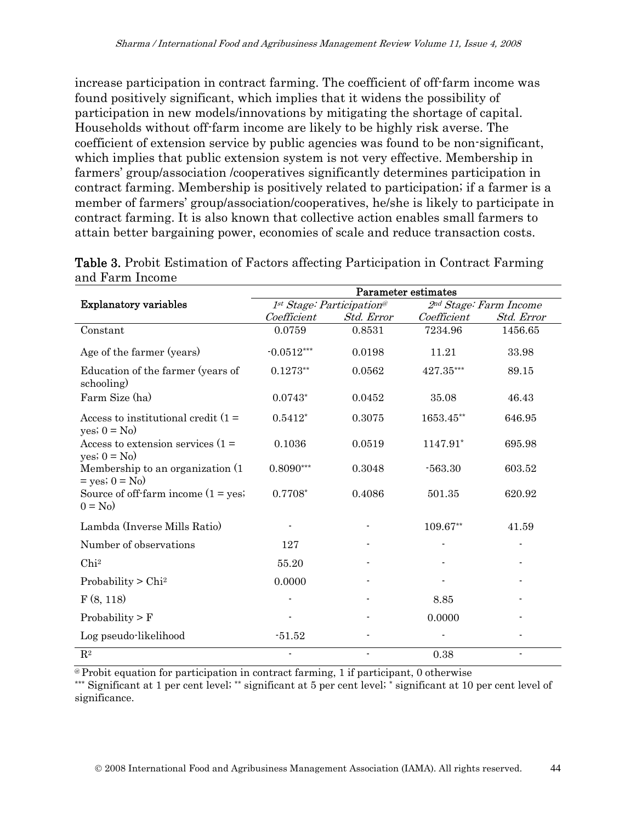increase participation in contract farming. The coefficient of off-farm income was found positively significant, which implies that it widens the possibility of participation in new models/innovations by mitigating the shortage of capital. Households without off-farm income are likely to be highly risk averse. The coefficient of extension service by public agencies was found to be non-significant, which implies that public extension system is not very effective. Membership in farmers' group/association /cooperatives significantly determines participation in contract farming. Membership is positively related to participation; if a farmer is a member of farmers' group/association/cooperatives, he/she is likely to participate in contract farming. It is also known that collective action enables small farmers to attain better bargaining power, economies of scale and reduce transaction costs.

|                                                         | Parameter estimates       |                |                        |                |
|---------------------------------------------------------|---------------------------|----------------|------------------------|----------------|
| <b>Explanatory variables</b>                            | 1st Stage: Participation® |                | 2nd Stage: Farm Income |                |
|                                                         | Coefficient               | Std. Error     | Coefficient            | Std. Error     |
| Constant                                                | 0.0759                    | 0.8531         | 7234.96                | 1456.65        |
| Age of the farmer (years)                               | $-0.0512***$              | 0.0198         | 11.21                  | 33.98          |
| Education of the farmer (years of<br>schooling)         | $0.1273**$                | 0.0562         | 427.35***              | 89.15          |
| Farm Size (ha)                                          | $0.0743*$                 | 0.0452         | 35.08                  | 46.43          |
| Access to institutional credit $(1 =$<br>yes; $0 = No$  | $0.5412*$                 | 0.3075         | 1653.45**              | 646.95         |
| Access to extension services $(1 =$<br>yes; $0 = No$ )  | 0.1036                    | 0.0519         | 1147.91*               | 695.98         |
| Membership to an organization (1)<br>$=$ yes; $0 =$ No) | $0.8090***$               | 0.3048         | $-563.30$              | 603.52         |
| Source of off-farm income $(1 = yes)$<br>$0 = No$       | $0.7708*$                 | 0.4086         | 501.35                 | 620.92         |
| Lambda (Inverse Mills Ratio)                            |                           |                | 109.67**               | 41.59          |
| Number of observations                                  | 127                       |                |                        |                |
| Chi <sup>2</sup>                                        | 55.20                     |                |                        |                |
| Probability $>$ Chi <sup>2</sup>                        | 0.0000                    |                |                        |                |
| F(8, 118)                                               |                           |                | 8.85                   |                |
| Probability $> F$                                       |                           |                | 0.0000                 |                |
| Log pseudo-likelihood                                   | $-51.52$                  |                |                        |                |
| $\mathbf{R}^2$                                          | $\blacksquare$            | $\blacksquare$ | 0.38                   | $\blacksquare$ |

Table 3. Probit Estimation of Factors affecting Participation in Contract Farming and Farm Income

@ Probit equation for participation in contract farming, 1 if participant, 0 otherwise

\*\*\* Significant at 1 per cent level; \*\* significant at 5 per cent level; \* significant at 10 per cent level of significance.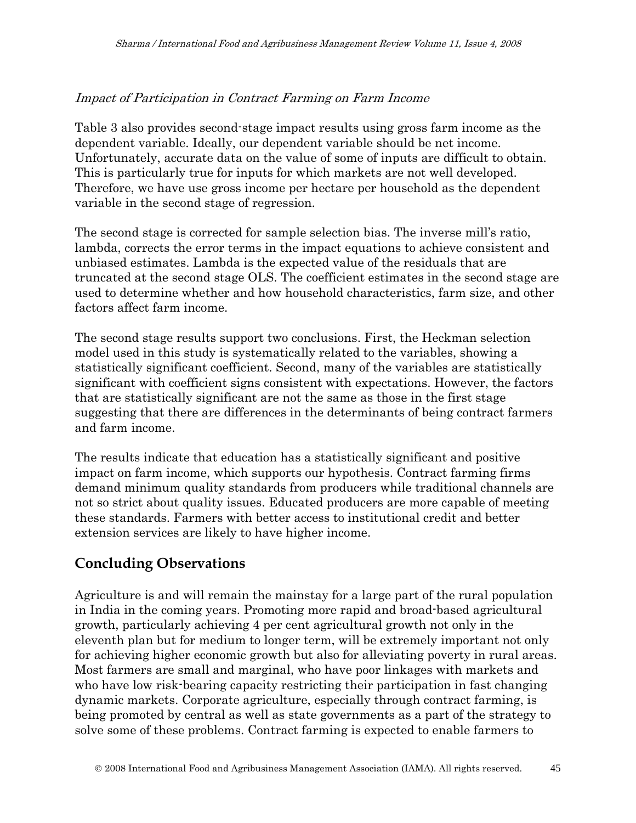#### Impact of Participation in Contract Farming on Farm Income

Table 3 also provides second-stage impact results using gross farm income as the dependent variable. Ideally, our dependent variable should be net income. Unfortunately, accurate data on the value of some of inputs are difficult to obtain. This is particularly true for inputs for which markets are not well developed. Therefore, we have use gross income per hectare per household as the dependent variable in the second stage of regression.

The second stage is corrected for sample selection bias. The inverse mill's ratio, lambda, corrects the error terms in the impact equations to achieve consistent and unbiased estimates. Lambda is the expected value of the residuals that are truncated at the second stage OLS. The coefficient estimates in the second stage are used to determine whether and how household characteristics, farm size, and other factors affect farm income.

The second stage results support two conclusions. First, the Heckman selection model used in this study is systematically related to the variables, showing a statistically significant coefficient. Second, many of the variables are statistically significant with coefficient signs consistent with expectations. However, the factors that are statistically significant are not the same as those in the first stage suggesting that there are differences in the determinants of being contract farmers and farm income.

The results indicate that education has a statistically significant and positive impact on farm income, which supports our hypothesis. Contract farming firms demand minimum quality standards from producers while traditional channels are not so strict about quality issues. Educated producers are more capable of meeting these standards. Farmers with better access to institutional credit and better extension services are likely to have higher income.

## **Concluding Observations**

Agriculture is and will remain the mainstay for a large part of the rural population in India in the coming years. Promoting more rapid and broad-based agricultural growth, particularly achieving 4 per cent agricultural growth not only in the eleventh plan but for medium to longer term, will be extremely important not only for achieving higher economic growth but also for alleviating poverty in rural areas. Most farmers are small and marginal, who have poor linkages with markets and who have low risk-bearing capacity restricting their participation in fast changing dynamic markets. Corporate agriculture, especially through contract farming, is being promoted by central as well as state governments as a part of the strategy to solve some of these problems. Contract farming is expected to enable farmers to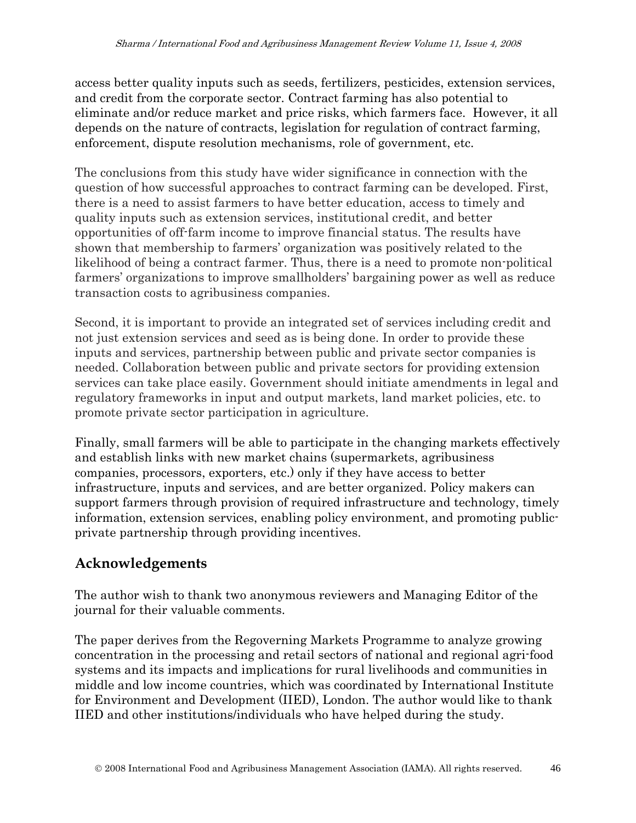access better quality inputs such as seeds, fertilizers, pesticides, extension services, and credit from the corporate sector. Contract farming has also potential to eliminate and/or reduce market and price risks, which farmers face. However, it all depends on the nature of contracts, legislation for regulation of contract farming, enforcement, dispute resolution mechanisms, role of government, etc.

The conclusions from this study have wider significance in connection with the question of how successful approaches to contract farming can be developed. First, there is a need to assist farmers to have better education, access to timely and quality inputs such as extension services, institutional credit, and better opportunities of off-farm income to improve financial status. The results have shown that membership to farmers' organization was positively related to the likelihood of being a contract farmer. Thus, there is a need to promote non-political farmers' organizations to improve smallholders' bargaining power as well as reduce transaction costs to agribusiness companies.

Second, it is important to provide an integrated set of services including credit and not just extension services and seed as is being done. In order to provide these inputs and services, partnership between public and private sector companies is needed. Collaboration between public and private sectors for providing extension services can take place easily. Government should initiate amendments in legal and regulatory frameworks in input and output markets, land market policies, etc. to promote private sector participation in agriculture.

Finally, small farmers will be able to participate in the changing markets effectively and establish links with new market chains (supermarkets, agribusiness companies, processors, exporters, etc.) only if they have access to better infrastructure, inputs and services, and are better organized. Policy makers can support farmers through provision of required infrastructure and technology, timely information, extension services, enabling policy environment, and promoting publicprivate partnership through providing incentives.

## **Acknowledgements**

The author wish to thank two anonymous reviewers and Managing Editor of the journal for their valuable comments.

The paper derives from the Regoverning Markets Programme to analyze growing concentration in the processing and retail sectors of national and regional agri-food systems and its impacts and implications for rural livelihoods and communities in middle and low income countries, which was coordinated by International Institute for Environment and Development (IIED), London. The author would like to thank IIED and other institutions/individuals who have helped during the study.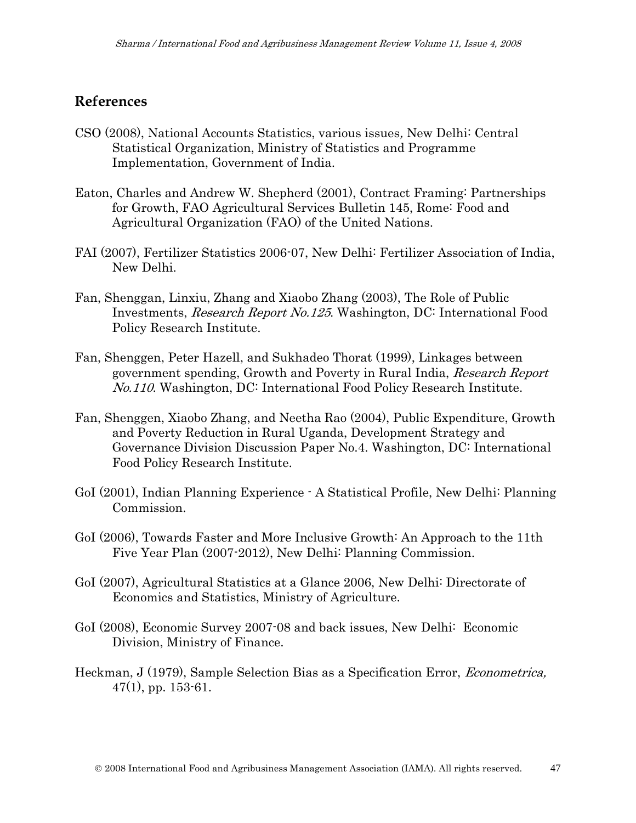## **References**

- CSO (2008), National Accounts Statistics, various issues, New Delhi: Central Statistical Organization, Ministry of Statistics and Programme Implementation, Government of India.
- Eaton, Charles and Andrew W. Shepherd (2001), Contract Framing: Partnerships for Growth, FAO Agricultural Services Bulletin 145, Rome: Food and Agricultural Organization (FAO) of the United Nations.
- FAI (2007), Fertilizer Statistics 2006-07, New Delhi: Fertilizer Association of India, New Delhi.
- Fan, Shenggan, Linxiu, Zhang and Xiaobo Zhang (2003), The Role of Public Investments, Research Report No.125. Washington, DC: International Food Policy Research Institute.
- Fan, Shenggen, Peter Hazell, and Sukhadeo Thorat (1999), Linkages between government spending, Growth and Poverty in Rural India, Research Report No.110. Washington, DC: International Food Policy Research Institute.
- Fan, Shenggen, Xiaobo Zhang, and Neetha Rao (2004), Public Expenditure, Growth and Poverty Reduction in Rural Uganda, Development Strategy and Governance Division Discussion Paper No.4. Washington, DC: International Food Policy Research Institute.
- GoI (2001), Indian Planning Experience A Statistical Profile, New Delhi: Planning Commission.
- GoI (2006), Towards Faster and More Inclusive Growth: An Approach to the 11th Five Year Plan (2007-2012), New Delhi: Planning Commission.
- GoI (2007), Agricultural Statistics at a Glance 2006, New Delhi: Directorate of Economics and Statistics, Ministry of Agriculture.
- GoI (2008), Economic Survey 2007-08 and back issues, New Delhi: Economic Division, Ministry of Finance.
- Heckman, J (1979), Sample Selection Bias as a Specification Error, Econometrica,  $47(1)$ , pp. 153-61.